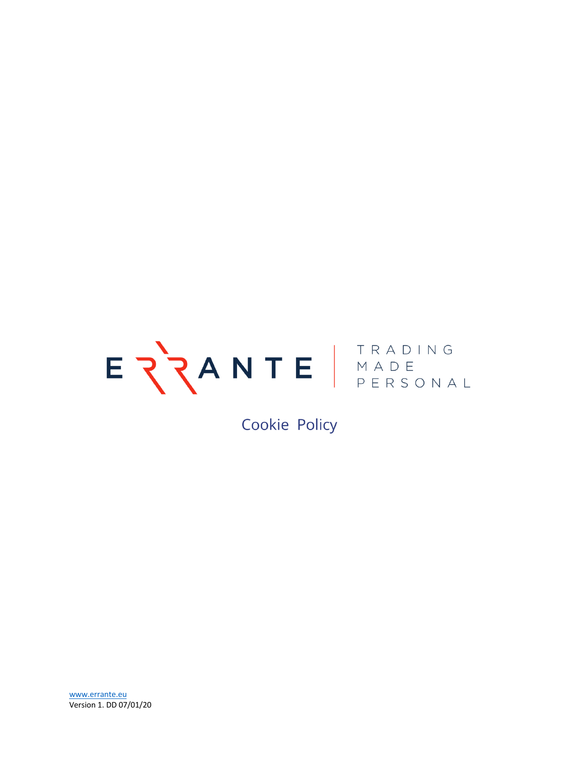

Cookie Policy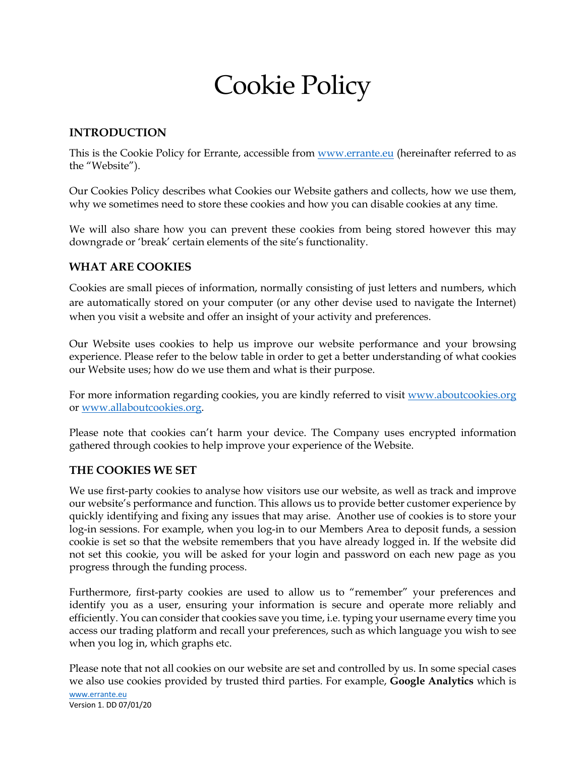# Cookie Policy

### **INTRODUCTION**

This is the Cookie Policy for Errante, accessible from www.errante.eu (hereinafter referred to as the "Website").

Our Cookies Policy describes what Cookies our Website gathers and collects, how we use them, why we sometimes need to store these cookies and how you can disable cookies at any time.

We will also share how you can prevent these cookies from being stored however this may downgrade or 'break' certain elements of the site's functionality.

#### **WHAT ARE COOKIES**

Cookies are small pieces of information, normally consisting of just letters and numbers, which are automatically stored on your computer (or any other devise used to navigate the Internet) when you visit a website and offer an insight of your activity and preferences.

Our Website uses cookies to help us improve our website performance and your browsing experience. Please refer to the below table in order to get a better understanding of what cookies our Website uses; how do we use them and what is their purpose.

For more information regarding cookies, you are kindly referred to visit www.aboutcookies.org or www.allaboutcookies.org.

Please note that cookies can't harm your device. The Company uses encrypted information gathered through cookies to help improve your experience of the Website.

#### **THE COOKIES WE SET**

We use first-party cookies to analyse how visitors use our website, as well as track and improve our website's performance and function. This allows us to provide better customer experience by quickly identifying and fixing any issues that may arise. Another use of cookies is to store your log-in sessions. For example, when you log-in to our Members Area to deposit funds, a session cookie is set so that the website remembers that you have already logged in. If the website did not set this cookie, you will be asked for your login and password on each new page as you progress through the funding process.

Furthermore, first-party cookies are used to allow us to "remember" your preferences and identify you as a user, ensuring your information is secure and operate more reliably and efficiently. You can consider that cookies save you time, i.e. typing your username every time you access our trading platform and recall your preferences, such as which language you wish to see when you log in, which graphs etc.

Please note that not all cookies on our website are set and controlled by us. In some special cases we also use cookies provided by trusted third parties. For example, **Google Analytics** which is

www.errante.eu Version 1. DD 07/01/20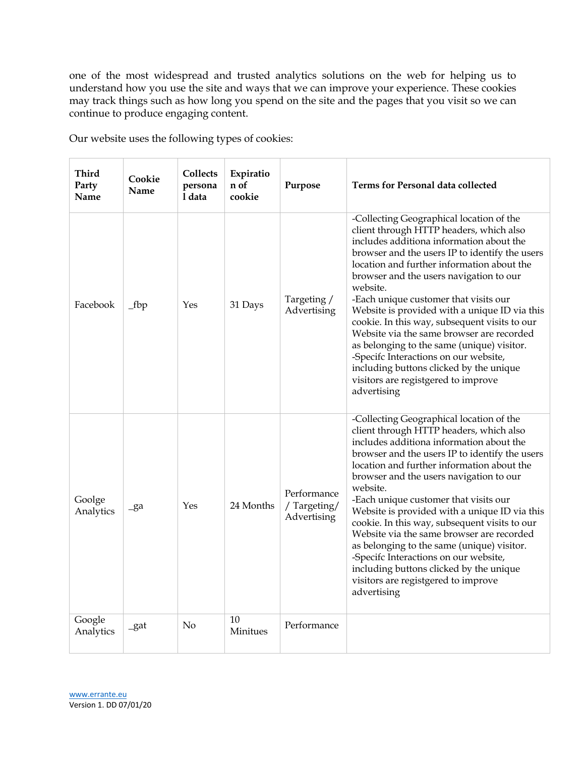one of the most widespread and trusted analytics solutions on the web for helping us to understand how you use the site and ways that we can improve your experience. These cookies may track things such as how long you spend on the site and the pages that you visit so we can continue to produce engaging content.

Our website uses the following types of cookies:

| Third<br>Party<br>Name | Cookie<br>Name | <b>Collects</b><br>persona<br>1 data | Expiratio<br>n of<br>cookie | Purpose                                   | <b>Terms for Personal data collected</b>                                                                                                                                                                                                                                                                                                                                                                                                                                                                                                                                                                                                                               |
|------------------------|----------------|--------------------------------------|-----------------------------|-------------------------------------------|------------------------------------------------------------------------------------------------------------------------------------------------------------------------------------------------------------------------------------------------------------------------------------------------------------------------------------------------------------------------------------------------------------------------------------------------------------------------------------------------------------------------------------------------------------------------------------------------------------------------------------------------------------------------|
| Facebook               | $_fbp$         | Yes                                  | 31 Days                     | Targeting /<br>Advertising                | -Collecting Geographical location of the<br>client through HTTP headers, which also<br>includes additiona information about the<br>browser and the users IP to identify the users<br>location and further information about the<br>browser and the users navigation to our<br>website.<br>-Each unique customer that visits our<br>Website is provided with a unique ID via this<br>cookie. In this way, subsequent visits to our<br>Website via the same browser are recorded<br>as belonging to the same (unique) visitor.<br>-Specifc Interactions on our website,<br>including buttons clicked by the unique<br>visitors are registgered to improve<br>advertising |
| Goolge<br>Analytics    | $-ga$          | Yes                                  | 24 Months                   | Performance<br>/Targeting/<br>Advertising | -Collecting Geographical location of the<br>client through HTTP headers, which also<br>includes additiona information about the<br>browser and the users IP to identify the users<br>location and further information about the<br>browser and the users navigation to our<br>website.<br>-Each unique customer that visits our<br>Website is provided with a unique ID via this<br>cookie. In this way, subsequent visits to our<br>Website via the same browser are recorded<br>as belonging to the same (unique) visitor.<br>-Specifc Interactions on our website,<br>including buttons clicked by the unique<br>visitors are registgered to improve<br>advertising |
| Google<br>Analytics    | $-gat$         | No                                   | 10<br>Minitues              | Performance                               |                                                                                                                                                                                                                                                                                                                                                                                                                                                                                                                                                                                                                                                                        |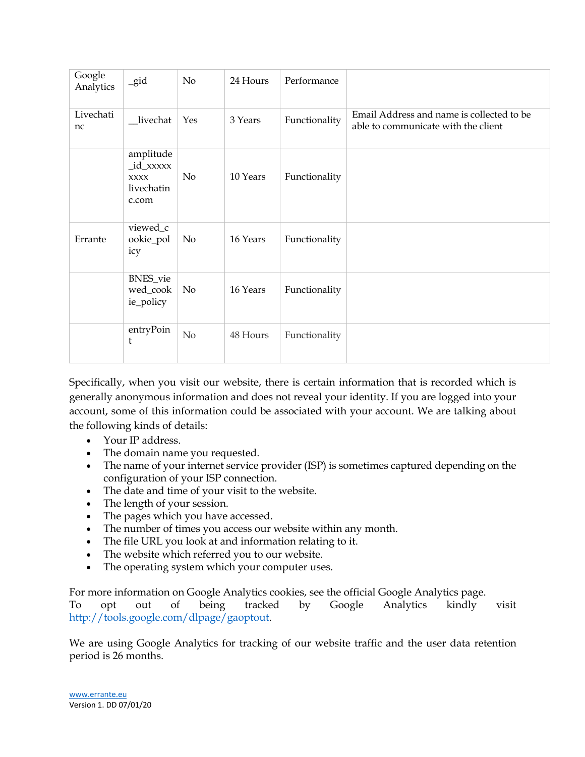| Google<br>Analytics | $-gid$                                                       | No       | 24 Hours | Performance   |                                                                                  |
|---------------------|--------------------------------------------------------------|----------|----------|---------------|----------------------------------------------------------------------------------|
| Livechati<br>nc     | livechat                                                     | Yes      | 3 Years  | Functionality | Email Address and name is collected to be<br>able to communicate with the client |
|                     | amplitude<br>_id_xxxxx<br><b>XXXX</b><br>livechatin<br>c.com | No       | 10 Years | Functionality |                                                                                  |
| Errante             | viewed_c<br>ookie_pol<br>icy                                 | No       | 16 Years | Functionality |                                                                                  |
|                     | BNES_vie<br>wed_cook<br>ie_policy                            | $\rm No$ | 16 Years | Functionality |                                                                                  |
|                     | entryPoin<br>t                                               | No       | 48 Hours | Functionality |                                                                                  |

Specifically, when you visit our website, there is certain information that is recorded which is generally anonymous information and does not reveal your identity. If you are logged into your account, some of this information could be associated with your account. We are talking about the following kinds of details:

- Your IP address.
- The domain name you requested.
- The name of your internet service provider (ISP) is sometimes captured depending on the configuration of your ISP connection.
- The date and time of your visit to the website.
- The length of your session.
- The pages which you have accessed.
- The number of times you access our website within any month.
- The file URL you look at and information relating to it.
- The website which referred you to our website.
- The operating system which your computer uses.

For more information on Google Analytics cookies, see the official Google Analytics page.

To opt out of being tracked by Google Analytics kindly visit http://tools.google.com/dlpage/gaoptout.

We are using Google Analytics for tracking of our website traffic and the user data retention period is 26 months.